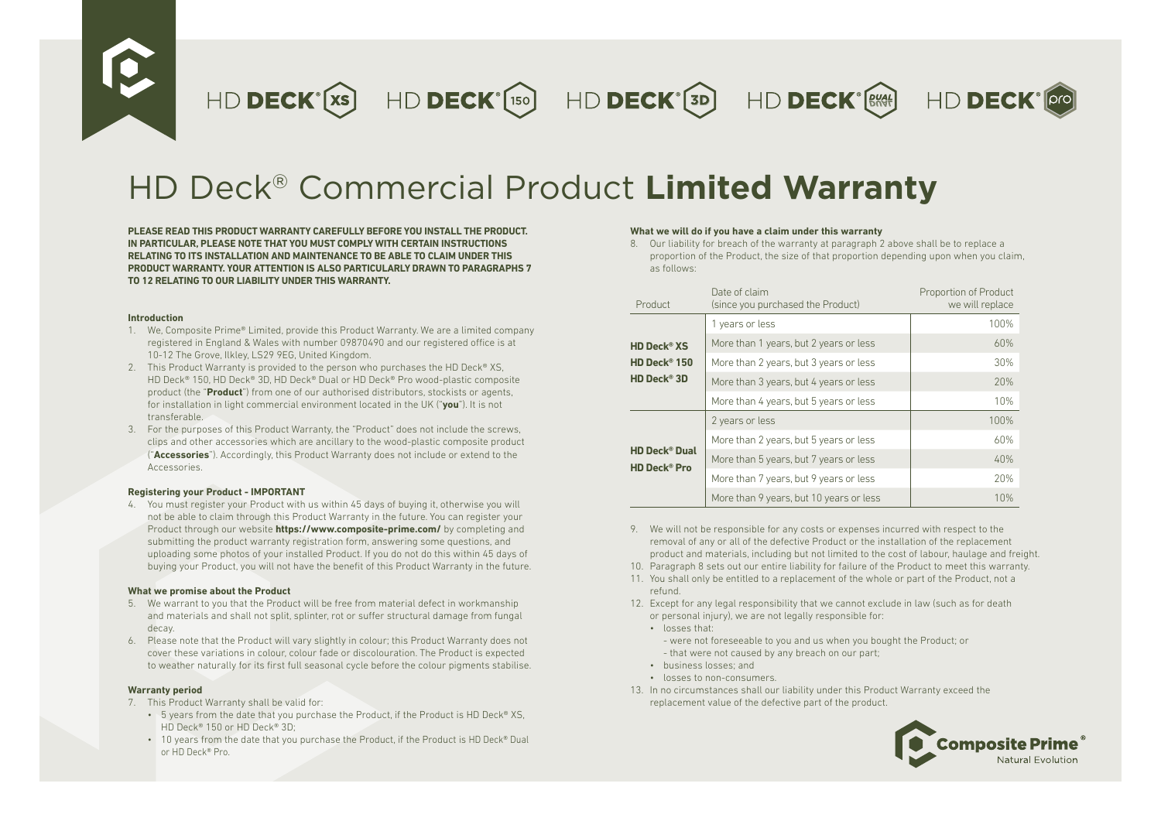HD DECK<sup>°</sup>(xs) HD DECK<sup>°</sup>(150) HD DECK<sup>°</sup>(3D) HD DECK<sup>°</sup>(3M)



# HD Deck® Commercial Product **Limited Warranty**

**PLEASE READ THIS PRODUCT WARRANTY CAREFULLY BEFORE YOU INSTALL THE PRODUCT. IN PARTICULAR, PLEASE NOTE THAT YOU MUST COMPLY WITH CERTAIN INSTRUCTIONS RELATING TO ITS INSTALLATION AND MAINTENANCE TO BE ABLE TO CLAIM UNDER THIS PRODUCT WARRANTY. YOUR ATTENTION IS ALSO PARTICULARLY DRAWN TO PARAGRAPHS 7 TO 12 RELATING TO OUR LIABILITY UNDER THIS WARRANTY.**

### **Introduction**

- 1. We, Composite Prime® Limited, provide this Product Warranty. We are a limited company registered in England & Wales with number 09870490 and our registered office is at 10-12 The Grove, Ilkley, LS29 9EG, United Kingdom.
- 2. This Product Warranty is provided to the person who purchases the HD Deck® XS, HD Deck® 150, HD Deck® 3D, HD Deck® Dual or HD Deck® Pro wood-plastic composite product (the "**Product**") from one of our authorised distributors, stockists or agents, for installation in light commercial environment located in the UK ("**you**"). It is not transferable.
- 3. For the purposes of this Product Warranty, the "Product" does not include the screws, clips and other accessories which are ancillary to the wood-plastic composite product ("**Accessories**"). Accordingly, this Product Warranty does not include or extend to the Accessories.

# **Registering your Product - IMPORTANT**

4. You must register your Product with us within 45 days of buying it, otherwise you will not be able to claim through this Product Warranty in the future. You can register your Product through our website **https://www.composite-prime.com/** by completing and submitting the product warranty registration form, answering some questions, and uploading some photos of your installed Product. If you do not do this within 45 days of buying your Product, you will not have the benefit of this Product Warranty in the future.

# **What we promise about the Product**

- 5. We warrant to you that the Product will be free from material defect in workmanship and materials and shall not split, splinter, rot or suffer structural damage from fungal decay.
- 6. Please note that the Product will vary slightly in colour; this Product Warranty does not cover these variations in colour, colour fade or discolouration. The Product is expected to weather naturally for its first full seasonal cycle before the colour pigments stabilise.

# **Warranty period**

- 7. This Product Warranty shall be valid for:
	- 5 years from the date that you purchase the Product, if the Product is HD Deck® XS. HD Deck® 150 or HD Deck® 3D;
	- 10 years from the date that you purchase the Product, if the Product is HD Deck® Dual or HD Deck® Pro.

# **What we will do if you have a claim under this warranty**

8. Our liability for breach of the warranty at paragraph 2 above shall be to replace a proportion of the Product, the size of that proportion depending upon when you claim, as follows:

| Product                                                           | Date of claim<br>(since you purchased the Product) | Proportion of Product<br>we will replace |
|-------------------------------------------------------------------|----------------------------------------------------|------------------------------------------|
|                                                                   | 1 years or less                                    | 100%                                     |
| <b>HD Deck<sup>®</sup> XS</b>                                     | More than 1 years, but 2 years or less             | 60%                                      |
| HD Deck <sup>®</sup> 150                                          | More than 2 years, but 3 years or less             | 30%                                      |
| HD Deck <sup>®</sup> 3D                                           | More than 3 years, but 4 years or less             | 20%                                      |
|                                                                   | More than 4 years, but 5 years or less             | 10%                                      |
| <b>HD Deck<sup>®</sup> Dual</b><br><b>HD Deck<sup>®</sup> Pro</b> | 2 years or less                                    | 100%                                     |
|                                                                   | More than 2 years, but 5 years or less             | 60%                                      |
|                                                                   | More than 5 years, but 7 years or less             | 40%                                      |
|                                                                   | More than 7 years, but 9 years or less             | 20%                                      |
|                                                                   | More than 9 years, but 10 years or less            | 10%                                      |

- 9. We will not be responsible for any costs or expenses incurred with respect to the removal of any or all of the defective Product or the installation of the replacement product and materials, including but not limited to the cost of labour, haulage and freight.
- 10. Paragraph 8 sets out our entire liability for failure of the Product to meet this warranty.
- 11. You shall only be entitled to a replacement of the whole or part of the Product, not a refund.
- 12. Except for any legal responsibility that we cannot exclude in law (such as for death or personal injury), we are not legally responsible for:
	- losses that:
		- were not foreseeable to you and us when you bought the Product; or - that were not caused by any breach on our part;
	- business losses; and
	- losses to non-consumers.
- 13. In no circumstances shall our liability under this Product Warranty exceed the replacement value of the defective part of the product.